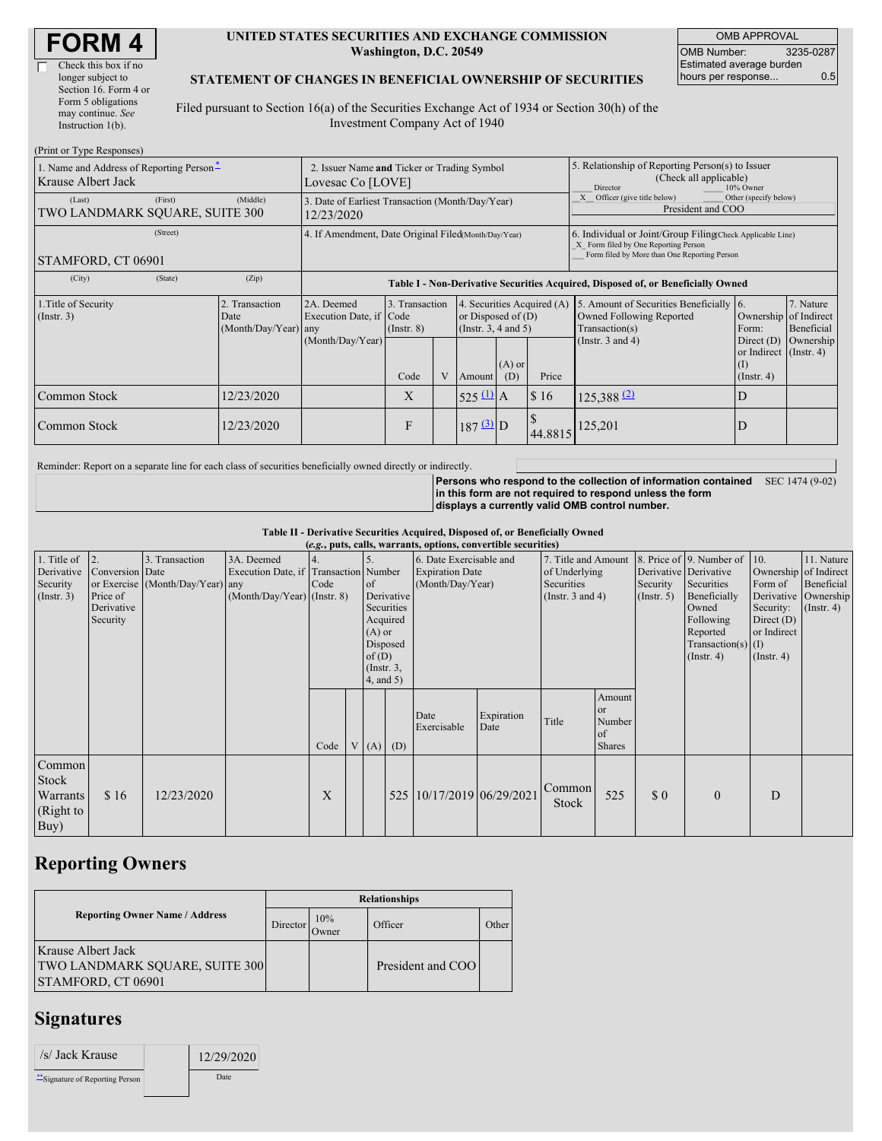| <b>FORM 4</b> |
|---------------|
|---------------|

 $(D_{\text{wint on}}$  Type  $D$ 

#### **UNITED STATES SECURITIES AND EXCHANGE COMMISSION Washington, D.C. 20549**

OMB APPROVAL OMB Number: 3235-0287 Estimated average burden hours per response... 0.5

### **STATEMENT OF CHANGES IN BENEFICIAL OWNERSHIP OF SECURITIES**

Filed pursuant to Section 16(a) of the Securities Exchange Act of 1934 or Section 30(h) of the Investment Company Act of 1940

| $(1 \text{ min of 1 ypc respectively})$<br>1. Name and Address of Reporting Person-<br>Krause Albert Jack | 2. Issuer Name and Ticker or Trading Symbol<br>Lovesac Co [LOVE] |                                                |                                                                                                                                                              |      |                       |                                                                                                                                                    | 5. Relationship of Reporting Person(s) to Issuer<br>(Check all applicable)<br>Director<br>10% Owner |         |                                                                                                                                                    |                                                                   |           |  |
|-----------------------------------------------------------------------------------------------------------|------------------------------------------------------------------|------------------------------------------------|--------------------------------------------------------------------------------------------------------------------------------------------------------------|------|-----------------------|----------------------------------------------------------------------------------------------------------------------------------------------------|-----------------------------------------------------------------------------------------------------|---------|----------------------------------------------------------------------------------------------------------------------------------------------------|-------------------------------------------------------------------|-----------|--|
| (Last)<br>TWO LANDMARK SQUARE, SUITE 300                                                                  | 3. Date of Earliest Transaction (Month/Day/Year)<br>12/23/2020   |                                                |                                                                                                                                                              |      |                       |                                                                                                                                                    | Other (specify below)<br>Officer (give title below)<br>President and COO                            |         |                                                                                                                                                    |                                                                   |           |  |
| (Street)<br>STAMFORD, CT 06901                                                                            |                                                                  |                                                | 4. If Amendment, Date Original Filed(Month/Day/Year)                                                                                                         |      |                       |                                                                                                                                                    |                                                                                                     |         | 6. Individual or Joint/Group Filing Check Applicable Line)<br>X Form filed by One Reporting Person<br>Form filed by More than One Reporting Person |                                                                   |           |  |
| (City)                                                                                                    | (State)                                                          | (Zip)                                          |                                                                                                                                                              |      |                       |                                                                                                                                                    |                                                                                                     |         | Table I - Non-Derivative Securities Acquired, Disposed of, or Beneficially Owned                                                                   |                                                                   |           |  |
| 1. Title of Security<br>$($ Instr. 3 $)$                                                                  |                                                                  | 2. Transaction<br>Date<br>(Month/Day/Year) any | 3. Transaction<br>4. Securities Acquired (A)<br>2A. Deemed<br>Execution Date, if Code<br>or Disposed of $(D)$<br>(Instr. $3, 4$ and $5$ )<br>$($ Instr. $8)$ |      |                       | 5. Amount of Securities Beneficially 6.<br>7. Nature<br>Owned Following Reported<br>Ownership of Indirect<br>Beneficial<br>Transaction(s)<br>Form: |                                                                                                     |         |                                                                                                                                                    |                                                                   |           |  |
|                                                                                                           |                                                                  |                                                | (Month/Day/Year)                                                                                                                                             | Code | V                     | $(A)$ or<br>Price<br>(D)<br>Amount                                                                                                                 |                                                                                                     |         | (Instr. $3$ and $4$ )                                                                                                                              | Direct $(D)$<br>or Indirect (Instr. 4)<br>(I)<br>$($ Instr. 4 $)$ | Ownership |  |
| Common Stock                                                                                              |                                                                  | 12/23/2020                                     |                                                                                                                                                              | X    |                       | $525 \underline{u}$ A                                                                                                                              |                                                                                                     | \$16    | $125,388$ <sup>(2)</sup>                                                                                                                           | D                                                                 |           |  |
| 12/23/2020<br>Common Stock                                                                                |                                                                  |                                                | F                                                                                                                                                            |      | $187 \underline{3}$ D |                                                                                                                                                    | 44.8815                                                                                             | 125,201 | ΙD                                                                                                                                                 |                                                                   |           |  |

Reminder: Report on a separate line for each class of securities beneficially owned directly or indirectly.

**Persons who respond to the collection of information contained in this form are not required to respond unless the form displays a currently valid OMB control number.** SEC 1474 (9-02)

**Table II - Derivative Securities Acquired, Disposed of, or Beneficially Owned**

|                                                      | (e.g., puts, calls, warrants, options, convertible securities) |                                                    |                                                                                    |      |  |                                                                          |                                      |                                                                                                                                                      |                    |                 |                                                  |                                                                                                                                          |                                                                                                  |                                                                      |  |
|------------------------------------------------------|----------------------------------------------------------------|----------------------------------------------------|------------------------------------------------------------------------------------|------|--|--------------------------------------------------------------------------|--------------------------------------|------------------------------------------------------------------------------------------------------------------------------------------------------|--------------------|-----------------|--------------------------------------------------|------------------------------------------------------------------------------------------------------------------------------------------|--------------------------------------------------------------------------------------------------|----------------------------------------------------------------------|--|
| 1. Title of<br>Derivative<br>Security<br>(Insert. 3) | 2.<br>Conversion Date<br>Price of<br>Derivative<br>Security    | 3. Transaction<br>or Exercise (Month/Day/Year) any | 3A. Deemed<br>Execution Date, if Transaction Number<br>(Month/Day/Year) (Instr. 8) | Code |  | of<br>$(A)$ or<br>Disposed<br>of(D)<br>$($ Instr. $3,$<br>$4$ , and $5)$ | Derivative<br>Securities<br>Acquired | 6. Date Exercisable and<br>7. Title and Amount<br><b>Expiration Date</b><br>of Underlying<br>Securities<br>(Month/Day/Year)<br>(Instr. $3$ and $4$ ) |                    |                 | Derivative Derivative<br>Security<br>(Insert. 5) | 8. Price of 9. Number of 10.<br>Securities<br>Beneficially<br>Owned<br>Following<br>Reported<br>Transaction(s) $(I)$<br>$($ Instr. 4 $)$ | Ownership of Indirect<br>Form of<br>Security:<br>Direct $(D)$<br>or Indirect<br>$($ Instr. 4 $)$ | 11. Nature<br>Beneficial<br>Derivative Ownership<br>$($ Instr. 4 $)$ |  |
|                                                      |                                                                |                                                    |                                                                                    | Code |  |                                                                          | $V(A)$ (D)                           | Date<br>Exercisable                                                                                                                                  | Expiration<br>Date | Title           | Amount<br>or<br>Number<br>of<br><b>Shares</b>    |                                                                                                                                          |                                                                                                  |                                                                      |  |
| Common<br>Stock<br>Warrants<br>(Right to<br>Buy)     | \$16                                                           | 12/23/2020                                         |                                                                                    | X    |  |                                                                          |                                      | 525 10/17/2019 06/29/2021                                                                                                                            |                    | Common<br>Stock | 525                                              | $\Omega$                                                                                                                                 | $\mathbf{0}$                                                                                     | D                                                                    |  |

## **Reporting Owners**

|                                                                                          | <b>Relationships</b> |              |                   |       |  |  |  |  |
|------------------------------------------------------------------------------------------|----------------------|--------------|-------------------|-------|--|--|--|--|
| <b>Reporting Owner Name / Address</b>                                                    | Director             | 10%<br>Owner | Officer           | Other |  |  |  |  |
| Krause Albert Jack<br><b>TWO LANDMARK SQUARE, SUITE 300</b><br><b>STAMFORD, CT 06901</b> |                      |              | President and COO |       |  |  |  |  |

# **Signatures**

| /s/ Jack Krause               | 12/29/2020 |
|-------------------------------|------------|
| Signature of Reporting Person | Date       |